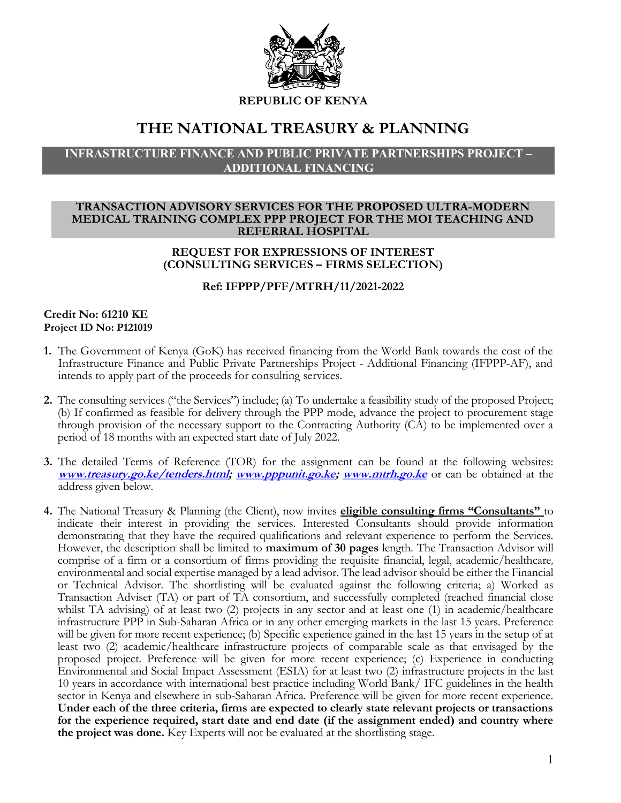

REPUBLIC OF KENYA

# THE NATIONAL TREASURY & PLANNING

# INFRASTRUCTURE FINANCE AND PUBLIC PRIVATE PARTNERSHIPS PROJECT – ADDITIONAL FINANCING

#### TRANSACTION ADVISORY SERVICES FOR THE PROPOSED ULTRA-MODERN MEDICAL TRAINING COMPLEX PPP PROJECT FOR THE MOI TEACHING AND REFERRAL HOSPITAL

## REQUEST FOR EXPRESSIONS OF INTEREST (CONSULTING SERVICES – FIRMS SELECTION)

## Ref: IFPPP/PFF/MTRH/11/2021-2022

## Credit No: 61210 KE Project ID No: P121019

- 1. The Government of Kenya (GoK) has received financing from the World Bank towards the cost of the Infrastructure Finance and Public Private Partnerships Project - Additional Financing (IFPPP-AF), and intends to apply part of the proceeds for consulting services.
- 2. The consulting services ("the Services") include; (a) To undertake a feasibility study of the proposed Project; (b) If confirmed as feasible for delivery through the PPP mode, advance the project to procurement stage through provision of the necessary support to the Contracting Authority (CA) to be implemented over a period of 18 months with an expected start date of July 2022.
- 3. The detailed Terms of Reference (TOR) for the assignment can be found at the following websites: www.treasury.go.ke/tenders.html; www.pppunit.go.ke; www.mtrh.go.ke or can be obtained at the address given below.
- 4. The National Treasury & Planning (the Client), now invites **eligible consulting firms "Consultants"** to indicate their interest in providing the services. Interested Consultants should provide information demonstrating that they have the required qualifications and relevant experience to perform the Services. However, the description shall be limited to **maximum of 30 pages** length. The Transaction Advisor will comprise of a firm or a consortium of firms providing the requisite financial, legal, academic/healthcare, environmental and social expertise managed by a lead advisor. The lead advisor should be either the Financial or Technical Advisor. The shortlisting will be evaluated against the following criteria; a) Worked as Transaction Adviser (TA) or part of TA consortium, and successfully completed (reached financial close whilst TA advising) of at least two (2) projects in any sector and at least one (1) in academic/healthcare infrastructure PPP in Sub-Saharan Africa or in any other emerging markets in the last 15 years. Preference will be given for more recent experience; (b) Specific experience gained in the last 15 years in the setup of at least two (2) academic/healthcare infrastructure projects of comparable scale as that envisaged by the proposed project. Preference will be given for more recent experience; (c) Experience in conducting Environmental and Social Impact Assessment (ESIA) for at least two (2) infrastructure projects in the last 10 years in accordance with international best practice including World Bank/ IFC guidelines in the health sector in Kenya and elsewhere in sub-Saharan Africa. Preference will be given for more recent experience. Under each of the three criteria, firms are expected to clearly state relevant projects or transactions for the experience required, start date and end date (if the assignment ended) and country where the project was done. Key Experts will not be evaluated at the shortlisting stage.